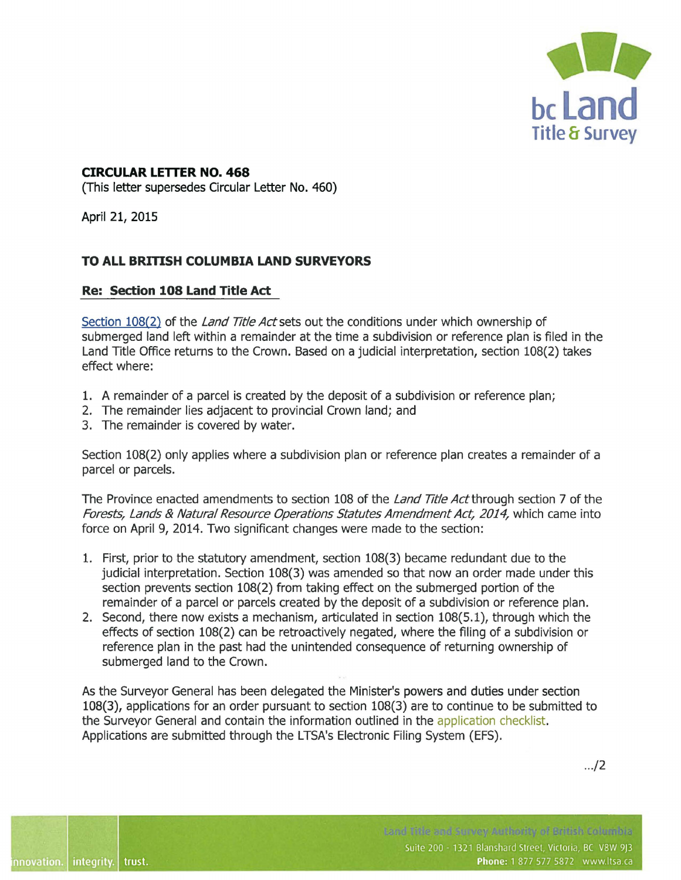

## **CIRCULAR LETTER NO. 468**

{This letter supersedes Circular Letter No. 460)

April 21, 2015

## **TO ALL BRITISH COLUMBIA LAND SURVEYORS**

## **Re: Section 108 Land Title Act**

[Section 108\(2\)](https://www.bclaws.ca/civix/document/id/complete/statreg/96250_07#section108) of the *Land Title Act* sets out the conditions under which ownership of submerged land left within a remainder at the time a subdivision or reference plan is filed in the Land Title Office returns to the Crown. Based on a judicial interpretation, section 108(2) takes effect where:

- 1. A remainder of a parcel is created by the deposit of a subdivision or reference plan;
- 2. The remainder lies adjacent to provincial Crown land; and
- 3. The remainder is covered by water.

Section 108(2) only applies where a subdivision plan or reference plan creates a remainder of a parcel or parcels.

The Province enacted amendments to section 108 of the *Land Title Act* through section 7 of the Forests, Lands & Natural Resource Operations Statutes Amendment Act, 2014, which came into force on April 9, 2014. Two significant changes were made to the section:

- 1. First, prior to the statutory amendment, section 108(3) became redundant due to the judicial interpretation. Section 108(3) was amended so that now an order made under this section prevents section 108(2) from taking effect on the submerged portion of the remainder of a parcel or parcels created by the deposit of a subdivision or reference plan.
- 2. Second, there now exists a mechanism, articulated in section 108(5.1), through which the effects of section 108(2) can be retroactively negated, where the filing of a subdivision or reference plan in the past had the unintended consequence of returning ownership of submerged land to the Crown.

As the Surveyor General has been delegated the Minister's powers and duties under section 108(3), applications for an order pursuant to section 108(3) are to continue to be submitted to the Surveyor General and contain the information outlined in the [application checklist.](https://ltsa.ca/practice-info/submissions-surveyor-general)  Applications are submitted through the LTSA's Electronic Filing System (EFS).

. . ./2

tand this and Sumey Authority of British Columbia